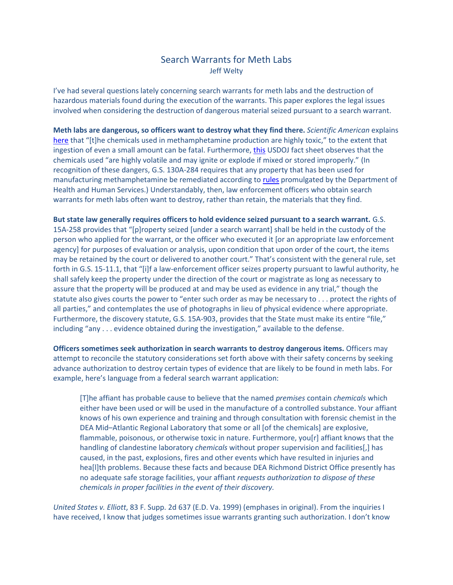## Search Warrants for Meth Labs Jeff Welty

I've had several questions lately concerning search warrants for meth labs and the destruction of hazardous materials found during the execution of the warrants. This paper explores the legal issues involved when considering the destruction of dangerous material seized pursuant to a search warrant.

**Meth labs are dangerous, so officers want to destroy what they find there.** *Scientific American* explains [here](http://www.scientificamerican.com/article/former-meth-lab/) that "[t]he chemicals used in methamphetamine production are highly toxic," to the extent that ingestion of even a small amount can be fatal. Furthermore[, this](http://www.justice.gov/archive/ndic/pubs7/7341/7341p.pdf) USDOJ fact sheet observes that the chemicals used "are highly volatile and may ignite or explode if mixed or stored improperly." (In recognition of these dangers, G.S. 130A-284 requires that any property that has been used for manufacturing methamphetamine be remediated according to [rules](http://epi.publichealth.nc.gov/oee/a_z/meth.html) promulgated by the Department of Health and Human Services.) Understandably, then, law enforcement officers who obtain search warrants for meth labs often want to destroy, rather than retain, the materials that they find.

**But state law generally requires officers to hold evidence seized pursuant to a search warrant.** G.S. 15A-258 provides that "[p]roperty seized [under a search warrant] shall be held in the custody of the person who applied for the warrant, or the officer who executed it [or an appropriate law enforcement agency] for purposes of evaluation or analysis, upon condition that upon order of the court, the items may be retained by the court or delivered to another court." That's consistent with the general rule, set forth in G.S. 15-11.1, that "[i]f a law-enforcement officer seizes property pursuant to lawful authority, he shall safely keep the property under the direction of the court or magistrate as long as necessary to assure that the property will be produced at and may be used as evidence in any trial," though the statute also gives courts the power to "enter such order as may be necessary to . . . protect the rights of all parties," and contemplates the use of photographs in lieu of physical evidence where appropriate. Furthermore, the discovery statute, G.S. 15A-903, provides that the State must make its entire "file," including "any . . . evidence obtained during the investigation," available to the defense.

**Officers sometimes seek authorization in search warrants to destroy dangerous items.** Officers may attempt to reconcile the statutory considerations set forth above with their safety concerns by seeking advance authorization to destroy certain types of evidence that are likely to be found in meth labs. For example, here's language from a federal search warrant application:

[T]he affiant has probable cause to believe that the named *premises* contain *chemicals* which either have been used or will be used in the manufacture of a controlled substance. Your affiant knows of his own experience and training and through consultation with forensic chemist in the DEA Mid–Atlantic Regional Laboratory that some or all [of the chemicals] are explosive, flammable, poisonous, or otherwise toxic in nature. Furthermore, you[r] affiant knows that the handling of clandestine laboratory *chemicals* without proper supervision and facilities[,] has caused, in the past, explosions, fires and other events which have resulted in injuries and hea[l]th problems. Because these facts and because DEA Richmond District Office presently has no adequate safe storage facilities, your affiant *requests authorization to dispose of these chemicals in proper facilities in the event of their discovery.*

*United States v. Elliott*, 83 F. Supp. 2d 637 (E.D. Va. 1999) (emphases in original). From the inquiries I have received, I know that judges sometimes issue warrants granting such authorization. I don't know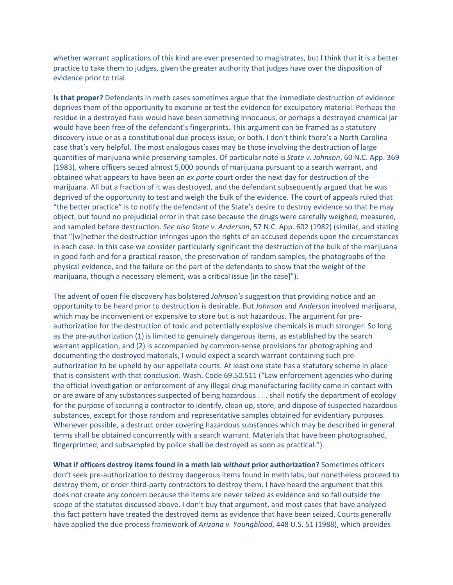whether warrant applications of this kind are ever presented to magistrates, but I think that it is a better practice to take them to judges, given the greater authority that judges have over the disposition of evidence prior to trial.

**Is that proper?** Defendants in meth cases sometimes argue that the immediate destruction of evidence deprives them of the opportunity to examine or test the evidence for exculpatory material. Perhaps the residue in a destroyed flask would have been something innocuous, or perhaps a destroyed chemical jar would have been free of the defendant's fingerprints. This argument can be framed as a statutory discovery issue or as a constitutional due process issue, or both. I don't think there's a North Carolina case that's very helpful. The most analogous cases may be those involving the destruction of large quantities of marijuana while preserving samples. Of particular note is *State v. Johnson*, 60 N.C. App. 369 (1983), where officers seized almost 5,000 pounds of marijuana pursuant to a search warrant, and obtained what appears to have been an *ex parte* court order the next day for destruction of the marijuana. All but a fraction of it was destroyed, and the defendant subsequently argued that he was deprived of the opportunity to test and weigh the bulk of the evidence. The court of appeals ruled that "the better practice" is to notify the defendant of the State's desire to destroy evidence so that he may object, but found no prejudicial error in that case because the drugs were carefully weighed, measured, and sampled before destruction. *See also State v. Anderson*, 57 N.C. App. 602 (1982) (similar, and stating that "[w]hether the destruction infringes upon the rights of an accused depends upon the circumstances in each case. In this case we consider particularly significant the destruction of the bulk of the marijuana in good faith and for a practical reason, the preservation of random samples, the photographs of the physical evidence, and the failure on the part of the defendants to show that the weight of the marijuana, though a necessary element, was a critical issue [in the case]").

The advent of open file discovery has bolstered *Johnson's* suggestion that providing notice and an opportunity to be heard prior to destruction is desirable. But *Johnson* and *Anderson* involved marijuana, which may be inconvenient or expensive to store but is not hazardous. The argument for preauthorization for the destruction of toxic and potentially explosive chemicals is much stronger. So long as the pre-authorization (1) is limited to genuinely dangerous items, as established by the search warrant application, and (2) is accompanied by common-sense provisions for photographing and documenting the destroyed materials, I would expect a search warrant containing such preauthorization to be upheld by our appellate courts. At least one state has a statutory scheme in place that is consistent with that conclusion. Wash. Code 69.50.511 ("Law enforcement agencies who during the official investigation or enforcement of any illegal drug manufacturing facility come in contact with or are aware of any substances suspected of being hazardous . . . shall notify the department of ecology for the purpose of securing a contractor to identify, clean up, store, and dispose of suspected hazardous substances, except for those random and representative samples obtained for evidentiary purposes. Whenever possible, a destruct order covering hazardous substances which may be described in general terms shall be obtained concurrently with a search warrant. Materials that have been photographed, fingerprinted, and subsampled by police shall be destroyed as soon as practical.").

**What if officers destroy items found in a meth lab** *without* **prior authorization?** Sometimes officers don't seek pre-authorization to destroy dangerous items found in meth labs, but nonetheless proceed to destroy them, or order third-party contractors to destroy them. I have heard the argument that this does not create any concern because the items are never seized as evidence and so fall outside the scope of the statutes discussed above. I don't buy that argument, and most cases that have analyzed this fact pattern have treated the destroyed items as evidence that have been seized. Courts generally have applied the due process framework of *Arizona v. Youngblood*, 448 U.S. 51 (1988), which provides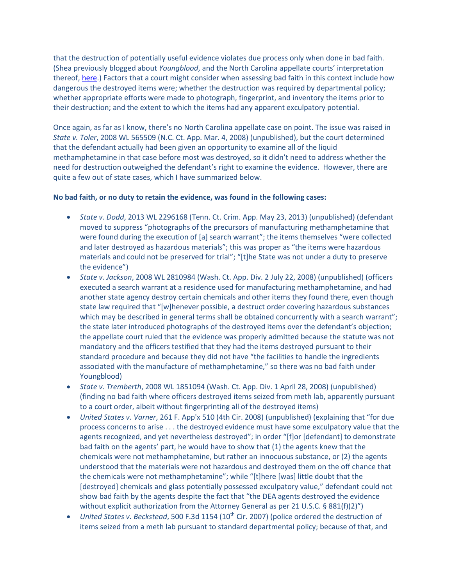that the destruction of potentially useful evidence violates due process only when done in bad faith. (Shea previously blogged about *Youngblood*, and the North Carolina appellate courts' interpretation thereof, [here.](http://nccriminallaw.sog.unc.edu/?p=2134)) Factors that a court might consider when assessing bad faith in this context include how dangerous the destroyed items were; whether the destruction was required by departmental policy; whether appropriate efforts were made to photograph, fingerprint, and inventory the items prior to their destruction; and the extent to which the items had any apparent exculpatory potential.

Once again, as far as I know, there's no North Carolina appellate case on point. The issue was raised in *State v. Toler*, 2008 WL 565509 (N.C. Ct. App. Mar. 4, 2008) (unpublished), but the court determined that the defendant actually had been given an opportunity to examine all of the liquid methamphetamine in that case before most was destroyed, so it didn't need to address whether the need for destruction outweighed the defendant's right to examine the evidence. However, there are quite a few out of state cases, which I have summarized below.

## **No bad faith, or no duty to retain the evidence, was found in the following cases:**

- *State v. Dodd*, 2013 WL 2296168 (Tenn. Ct. Crim. App. May 23, 2013) (unpublished) (defendant moved to suppress "photographs of the precursors of manufacturing methamphetamine that were found during the execution of [a] search warrant"; the items themselves "were collected and later destroyed as hazardous materials"; this was proper as "the items were hazardous materials and could not be preserved for trial"; "[t]he State was not under a duty to preserve the evidence")
- *State v. Jackson*, 2008 WL 2810984 (Wash. Ct. App. Div. 2 July 22, 2008) (unpublished) (officers executed a search warrant at a residence used for manufacturing methamphetamine, and had another state agency destroy certain chemicals and other items they found there, even though state law required that "[w]henever possible, a destruct order covering hazardous substances which may be described in general terms shall be obtained concurrently with a search warrant"; the state later introduced photographs of the destroyed items over the defendant's objection; the appellate court ruled that the evidence was properly admitted because the statute was not mandatory and the officers testified that they had the items destroyed pursuant to their standard procedure and because they did not have "the facilities to handle the ingredients associated with the manufacture of methamphetamine," so there was no bad faith under Youngblood)
- *State v. Tremberth*, 2008 WL 1851094 (Wash. Ct. App. Div. 1 April 28, 2008) (unpublished) (finding no bad faith where officers destroyed items seized from meth lab, apparently pursuant to a court order, albeit without fingerprinting all of the destroyed items)
- *United States v. Varner*, 261 F. App'x 510 (4th Cir. 2008) (unpublished) (explaining that "for due process concerns to arise . . . the destroyed evidence must have some exculpatory value that the agents recognized, and yet nevertheless destroyed"; in order "[f]or [defendant] to demonstrate bad faith on the agents' part, he would have to show that (1) the agents knew that the chemicals were not methamphetamine, but rather an innocuous substance, or (2) the agents understood that the materials were not hazardous and destroyed them on the off chance that the chemicals were not methamphetamine"; while "[t]here [was] little doubt that the [destroyed] chemicals and glass potentially possessed exculpatory value," defendant could not show bad faith by the agents despite the fact that "the DEA agents destroyed the evidence without explicit authorization from the Attorney General as per 21 U.S.C.  $\S 881(f)(2)''$ )
- *United States v. Beckstead*, 500 F.3d 1154 (10<sup>th</sup> Cir. 2007) (police ordered the destruction of items seized from a meth lab pursuant to standard departmental policy; because of that, and